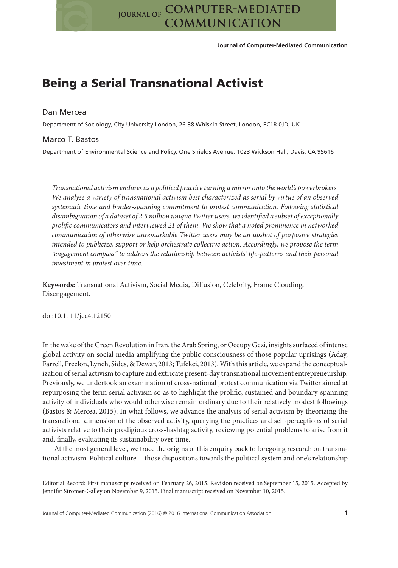# **Being a Serial Transnational Activist**

## Dan Mercea

Department of Sociology, City University London, 26-38 Whiskin Street, London, EC1R 0JD, UK

### Marco T. Bastos

Department of Environmental Science and Policy, One Shields Avenue, 1023 Wickson Hall, Davis, CA 95616

*Transnational activism endures as a political practice turning a mirror onto the world's powerbrokers. We analyse a variety of transnational activism best characterized as serial by virtue of an observed systematic time and border-spanning commitment to protest communication. Following statistical disambiguation of a dataset of 2.5 million unique Twitter users, we identified a subset of exceptionally prolific communicators and interviewed 21 of them. We show that a noted prominence in networked communication of otherwise unremarkable Twitter users may be an upshot of purposive strategies intended to publicize, support or help orchestrate collective action. Accordingly, we propose the term "engagement compass" to address the relationship between activists' life-patterns and their personal investment in protest over time.*

**Keywords:** Transnational Activism, Social Media, Diffusion, Celebrity, Frame Clouding, Disengagement.

doi:10.1111/jcc4.12150

In the wake of the Green Revolution in Iran, the Arab Spring, or Occupy Gezi, insights surfaced of intense global activity on social media amplifying the public consciousness of those popular uprisings (Aday, Farrell, Freelon, Lynch, Sides, & Dewar, 2013; Tufekci, 2013). With this article, we expand the conceptualization of serial activism to capture and extricate present-day transnational movement entrepreneurship. Previously, we undertook an examination of cross-national protest communication via Twitter aimed at repurposing the term serial activism so as to highlight the prolific, sustained and boundary-spanning activity of individuals who would otherwise remain ordinary due to their relatively modest followings (Bastos & Mercea, 2015). In what follows, we advance the analysis of serial activism by theorizing the transnational dimension of the observed activity, querying the practices and self-perceptions of serial activists relative to their prodigious cross-hashtag activity, reviewing potential problems to arise from it and, finally, evaluating its sustainability over time.

At the most general level, we trace the origins of this enquiry back to foregoing research on transnational activism. Political culture— those dispositions towards the political system and one's relationship

Editorial Record: First manuscript received on February 26, 2015. Revision received on September 15, 2015. Accepted by Jennifer Stromer-Galley on November 9, 2015. Final manuscript received on November 10, 2015.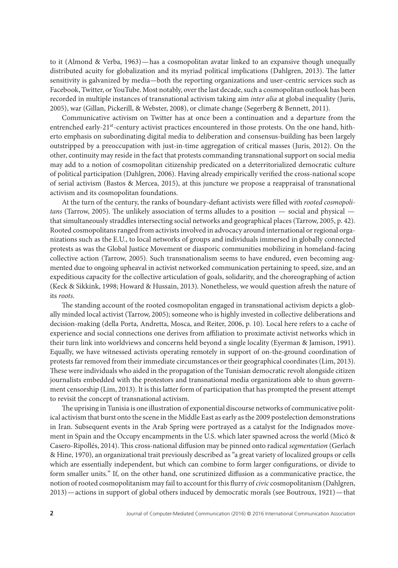to it (Almond & Verba, 1963)—has a cosmopolitan avatar linked to an expansive though unequally distributed acuity for globalization and its myriad political implications (Dahlgren, 2013). The latter sensitivity is galvanized by media—both the reporting organizations and user-centric services such as Facebook, Twitter, or YouTube. Most notably, over the last decade, such a cosmopolitan outlook has been recorded in multiple instances of transnational activism taking aim *inter alia* at global inequality (Juris, 2005), war (Gillan, Pickerill, & Webster, 2008), or climate change (Segerberg & Bennett, 2011).

Communicative activism on Twitter has at once been a continuation and a departure from the entrenched early-21<sup>st</sup>-century activist practices encountered in those protests. On the one hand, hitherto emphasis on subordinating digital media to deliberation and consensus-building has been largely outstripped by a preoccupation with just-in-time aggregation of critical masses (Juris, 2012). On the other, continuity may reside in the fact that protests commanding transnational support on social media may add to a notion of cosmopolitan citizenship predicated on a deterritorialized democratic culture of political participation (Dahlgren, 2006). Having already empirically verified the cross-national scope of serial activism (Bastos & Mercea, 2015), at this juncture we propose a reappraisal of transnational activism and its cosmopolitan foundations.

At the turn of the century, the ranks of boundary-defiant activists were filled with *rooted cosmopolitans* (Tarrow, 2005). The unlikely association of terms alludes to a position — social and physical that simultaneously straddles intersecting social networks and geographical places (Tarrow, 2005, p. 42). Rooted cosmopolitans ranged from activists involved in advocacy around international or regional organizations such as the E.U., to local networks of groups and individuals immersed in globally connected protests as was the Global Justice Movement or diasporic communities mobilizing in homeland-facing collective action (Tarrow, 2005). Such transnationalism seems to have endured, even becoming augmented due to ongoing upheaval in activist networked communication pertaining to speed, size, and an expeditious capacity for the collective articulation of goals, solidarity, and the choreographing of action (Keck & Sikkink, 1998; Howard & Hussain, 2013). Nonetheless, we would question afresh the nature of its *roots*.

The standing account of the rooted cosmopolitan engaged in transnational activism depicts a globally minded local activist (Tarrow, 2005); someone who is highly invested in collective deliberations and decision-making (della Porta, Andretta, Mosca, and Reiter, 2006, p. 10). Local here refers to a cache of experience and social connections one derives from affiliation to proximate activist networks which in their turn link into worldviews and concerns held beyond a single locality (Eyerman & Jamison, 1991). Equally, we have witnessed activists operating remotely in support of on-the-ground coordination of protests far removed from their immediate circumstances or their geographical coordinates (Lim, 2013). These were individuals who aided in the propagation of the Tunisian democratic revolt alongside citizen journalists embedded with the protestors and transnational media organizations able to shun government censorship (Lim, 2013). It is this latter form of participation that has prompted the present attempt to revisit the concept of transnational activism.

The uprising in Tunisia is one illustration of exponential discourse networks of communicative political activism that burst onto the scene in the Middle East as early as the 2009 postelection demonstrations in Iran. Subsequent events in the Arab Spring were portrayed as a catalyst for the Indignados movement in Spain and the Occupy encampments in the U.S. which later spawned across the world (Micó & Casero-Ripollés, 2014). This cross-national diffusion may be pinned onto radical *segmentation* (Gerlach & Hine, 1970), an organizational trait previously described as "a great variety of localized groups or cells which are essentially independent, but which can combine to form larger configurations, or divide to form smaller units." If, on the other hand, one scrutinized diffusion as a communicative practice, the notion of rooted cosmopolitanism may fail to account for this flurry of*civic* cosmopolitanism (Dahlgren, 2013)—actions in support of global others induced by democratic morals (see Boutroux, 1921)— that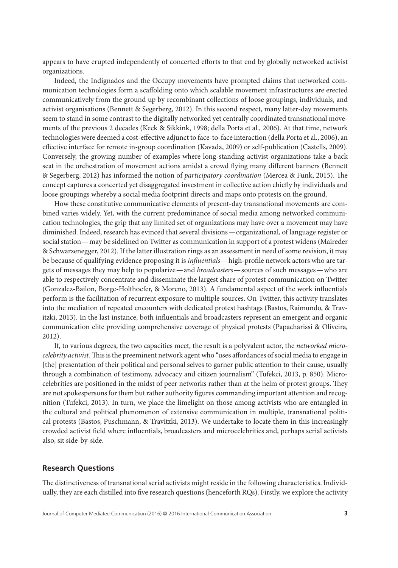appears to have erupted independently of concerted efforts to that end by globally networked activist organizations.

Indeed, the Indignados and the Occupy movements have prompted claims that networked communication technologies form a scaffolding onto which scalable movement infrastructures are erected communicatively from the ground up by recombinant collections of loose groupings, individuals, and activist organisations (Bennett & Segerberg, 2012). In this second respect, many latter-day movements seem to stand in some contrast to the digitally networked yet centrally coordinated transnational movements of the previous 2 decades (Keck & Sikkink, 1998; della Porta et al., 2006). At that time, network technologies were deemed a cost-effective adjunct to face-to-face interaction (della Porta et al., 2006), an effective interface for remote in-group coordination (Kavada, 2009) or self-publication (Castells, 2009). Conversely, the growing number of examples where long-standing activist organizations take a back seat in the orchestration of movement actions amidst a crowd flying many different banners (Bennett & Segerberg, 2012) has informed the notion of *participatory coordination* (Mercea & Funk, 2015). The concept captures a concerted yet disaggregated investment in collective action chiefly by individuals and loose groupings whereby a social media footprint directs and maps onto protests on the ground.

How these constitutive communicative elements of present-day transnational movements are combined varies widely. Yet, with the current predominance of social media among networked communication technologies, the grip that any limited set of organizations may have over a movement may have diminished. Indeed, research has evinced that several divisions—organizational, of language register or social station—may be sidelined on Twitter as communication in support of a protest widens (Maireder & Schwarzenegger, 2012). If the latter illustration rings as an assessment in need of some revision, it may be because of qualifying evidence proposing it is *influentials*—high-profile network actors who are targets of messages they may help to popularize—and *broadcasters*—sources of such messages—who are able to respectively concentrate and disseminate the largest share of protest communication on Twitter (Gonzalez-Bailon, Borge-Holthoefer, & Moreno, 2013). A fundamental aspect of the work influentials perform is the facilitation of recurrent exposure to multiple sources. On Twitter, this activity translates into the mediation of repeated encounters with dedicated protest hashtags (Bastos, Raimundo, & Travitzki, 2013). In the last instance, both influentials and broadcasters represent an emergent and organic communication elite providing comprehensive coverage of physical protests (Papacharissi & Oliveira, 2012).

If, to various degrees, the two capacities meet, the result is a polyvalent actor, the *networked microcelebrity activist*.This is the preeminent network agent who "uses affordances of social media to engage in [the] presentation of their political and personal selves to garner public attention to their cause, usually through a combination of testimony, advocacy and citizen journalism" (Tufekci, 2013, p. 850). Microcelebrities are positioned in the midst of peer networks rather than at the helm of protest groups. They are not spokespersons for them but rather authority figures commanding important attention and recognition (Tufekci, 2013). In turn, we place the limelight on those among activists who are entangled in the cultural and political phenomenon of extensive communication in multiple, transnational political protests (Bastos, Puschmann, & Travitzki, 2013). We undertake to locate them in this increasingly crowded activist field where influentials, broadcasters and microcelebrities and, perhaps serial activists also, sit side-by-side.

## **Research Questions**

The distinctiveness of transnational serial activists might reside in the following characteristics. Individually, they are each distilled into five research questions (henceforth RQs). Firstly, we explore the activity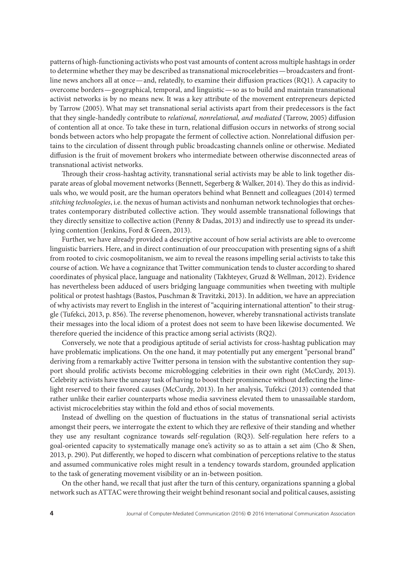patterns of high-functioning activists who post vast amounts of content across multiple hashtags in order to determine whether they may be described as transnational microcelebrities—broadcasters and frontline news anchors all at once—and, relatedly, to examine their diffusion practices (RQ1). A capacity to overcome borders—geographical, temporal, and linguistic—so as to build and maintain transnational activist networks is by no means new. It was a key attribute of the movement entrepreneurs depicted by Tarrow (2005). What may set transnational serial activists apart from their predecessors is the fact that they single-handedly contribute to *relational, nonrelational, and mediated* (Tarrow, 2005) diffusion of contention all at once. To take these in turn, relational diffusion occurs in networks of strong social bonds between actors who help propagate the ferment of collective action. Nonrelational diffusion pertains to the circulation of dissent through public broadcasting channels online or otherwise. Mediated diffusion is the fruit of movement brokers who intermediate between otherwise disconnected areas of transnational activist networks.

Through their cross-hashtag activity, transnational serial activists may be able to link together disparate areas of global movement networks (Bennett, Segerberg & Walker, 2014). They do this as individuals who, we would posit, are the human operators behind what Bennett and colleagues (2014) termed *stitching technologies*, i.e. the nexus of human activists and nonhuman network technologies that orchestrates contemporary distributed collective action. They would assemble transnational followings that they directly sensitize to collective action (Penny & Dadas, 2013) and indirectly use to spread its underlying contention (Jenkins, Ford & Green, 2013).

Further, we have already provided a descriptive account of how serial activists are able to overcome linguistic barriers. Here, and in direct continuation of our preoccupation with presenting signs of a shift from rooted to civic cosmopolitanism, we aim to reveal the reasons impelling serial activists to take this course of action. We have a cognizance that Twitter communication tends to cluster according to shared coordinates of physical place, language and nationality (Takhteyev, Gruzd & Wellman, 2012). Evidence has nevertheless been adduced of users bridging language communities when tweeting with multiple political or protest hashtags (Bastos, Puschman & Travitzki, 2013). In addition, we have an appreciation of why activists may revert to English in the interest of "acquiring international attention" to their struggle (Tufekci, 2013, p. 856). The reverse phenomenon, however, whereby transnational activists translate their messages into the local idiom of a protest does not seem to have been likewise documented. We therefore queried the incidence of this practice among serial activists (RQ2).

Conversely, we note that a prodigious aptitude of serial activists for cross-hashtag publication may have problematic implications. On the one hand, it may potentially put any emergent "personal brand" deriving from a remarkably active Twitter persona in tension with the substantive contention they support should prolific activists become microblogging celebrities in their own right (McCurdy, 2013). Celebrity activists have the uneasy task of having to boost their prominence without deflecting the limelight reserved to their favored causes (McCurdy, 2013). In her analysis, Tufekci (2013) contended that rather unlike their earlier counterparts whose media savviness elevated them to unassailable stardom, activist microcelebrities stay within the fold and ethos of social movements.

Instead of dwelling on the question of fluctuations in the status of transnational serial activists amongst their peers, we interrogate the extent to which they are reflexive of their standing and whether they use any resultant cognizance towards self-regulation (RQ3). Self-regulation here refers to a goal-oriented capacity to systematically manage one's activity so as to attain a set aim (Cho & Shen, 2013, p. 290). Put differently, we hoped to discern what combination of perceptions relative to the status and assumed communicative roles might result in a tendency towards stardom, grounded application to the task of generating movement visibility or an in-between position.

On the other hand, we recall that just after the turn of this century, organizations spanning a global network such as ATTAC were throwing their weight behind resonant social and political causes, assisting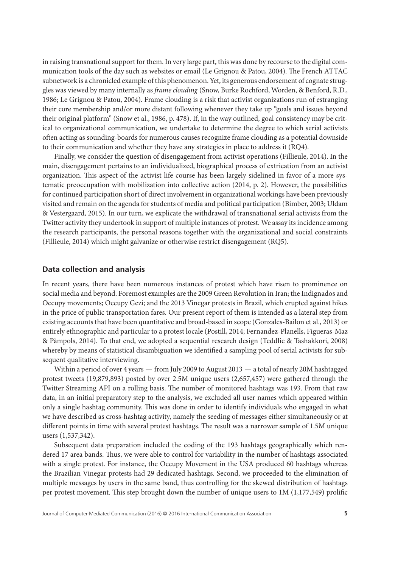in raising transnational support for them. In very large part, this was done by recourse to the digital communication tools of the day such as websites or email (Le Grignou & Patou, 2004). The French ATTAC subnetwork is a chronicled example of this phenomenon. Yet, its generous endorsement of cognate struggles was viewed by many internally as *frame clouding* (Snow, Burke Rochford, Worden, & Benford, R.D., 1986; Le Grignou & Patou, 2004). Frame clouding is a risk that activist organizations run of estranging their core membership and/or more distant following whenever they take up "goals and issues beyond their original platform" (Snow et al., 1986, p. 478). If, in the way outlined, goal consistency may be critical to organizational communication, we undertake to determine the degree to which serial activists often acting as sounding-boards for numerous causes recognize frame clouding as a potential downside to their communication and whether they have any strategies in place to address it (RQ4).

Finally, we consider the question of disengagement from activist operations (Fillieule, 2014). In the main, disengagement pertains to an individualized, biographical process of extrication from an activist organization. This aspect of the activist life course has been largely sidelined in favor of a more systematic preoccupation with mobilization into collective action (2014, p. 2). However, the possibilities for continued participation short of direct involvement in organizational workings have been previously visited and remain on the agenda for students of media and political participation (Bimber, 2003; Uldam & Vestergaard, 2015). In our turn, we explicate the withdrawal of transnational serial activists from the Twitter activity they undertook in support of multiple instances of protest. We assay its incidence among the research participants, the personal reasons together with the organizational and social constraints (Fillieule, 2014) which might galvanize or otherwise restrict disengagement (RQ5).

## **Data collection and analysis**

In recent years, there have been numerous instances of protest which have risen to prominence on social media and beyond. Foremost examples are the 2009 Green Revolution in Iran; the Indignados and Occupy movements; Occupy Gezi; and the 2013 Vinegar protests in Brazil, which erupted against hikes in the price of public transportation fares. Our present report of them is intended as a lateral step from existing accounts that have been quantitative and broad-based in scope (Gonzales-Bailon et al., 2013) or entirely ethnographic and particular to a protest locale (Postill, 2014; Fernandez-Planells, Figueras-Maz & Pàmpols, 2014). To that end, we adopted a sequential research design (Teddlie & Tashakkori, 2008) whereby by means of statistical disambiguation we identified a sampling pool of serial activists for subsequent qualitative interviewing.

Within a period of over 4 years — from July 2009 to August 2013 — a total of nearly 20M hashtagged protest tweets (19,879,893) posted by over 2.5M unique users (2,657,457) were gathered through the Twitter Streaming API on a rolling basis. The number of monitored hashtags was 193. From that raw data, in an initial preparatory step to the analysis, we excluded all user names which appeared within only a single hashtag community. This was done in order to identify individuals who engaged in what we have described as cross-hashtag activity, namely the seeding of messages either simultaneously or at different points in time with several protest hashtags. The result was a narrower sample of 1.5M unique users (1,537,342).

Subsequent data preparation included the coding of the 193 hashtags geographically which rendered 17 area bands. Thus, we were able to control for variability in the number of hashtags associated with a single protest. For instance, the Occupy Movement in the USA produced 60 hashtags whereas the Brazilian Vinegar protests had 29 dedicated hashtags. Second, we proceeded to the elimination of multiple messages by users in the same band, thus controlling for the skewed distribution of hashtags per protest movement. This step brought down the number of unique users to 1M (1,177,549) prolific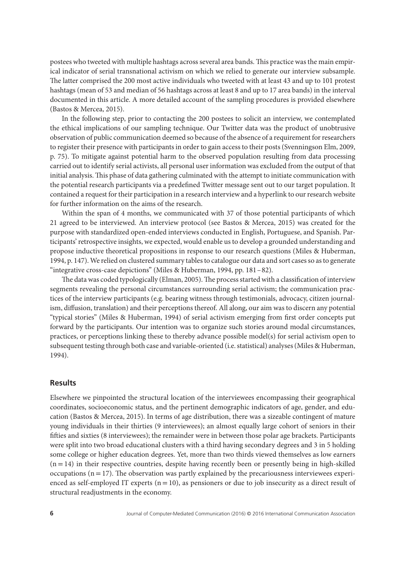postees who tweeted with multiple hashtags across several area bands. This practice was the main empirical indicator of serial transnational activism on which we relied to generate our interview subsample. The latter comprised the 200 most active individuals who tweeted with at least 43 and up to 101 protest hashtags (mean of 53 and median of 56 hashtags across at least 8 and up to 17 area bands) in the interval documented in this article. A more detailed account of the sampling procedures is provided elsewhere (Bastos & Mercea, 2015).

In the following step, prior to contacting the 200 postees to solicit an interview, we contemplated the ethical implications of our sampling technique. Our Twitter data was the product of unobtrusive observation of public communication deemed so because of the absence of a requirement for researchers to register their presence with participants in order to gain access to their posts (Svenningson Elm, 2009, p. 75). To mitigate against potential harm to the observed population resulting from data processing carried out to identify serial activists, all personal user information was excluded from the output of that initial analysis. This phase of data gathering culminated with the attempt to initiate communication with the potential research participants via a predefined Twitter message sent out to our target population. It contained a request for their participation in a research interview and a hyperlink to our research website for further information on the aims of the research.

Within the span of 4 months, we communicated with 37 of those potential participants of which 21 agreed to be interviewed. An interview protocol (see Bastos & Mercea, 2015) was created for the purpose with standardized open-ended interviews conducted in English, Portuguese, and Spanish. Participants' retrospective insights, we expected, would enable us to develop a grounded understanding and propose inductive theoretical propositions in response to our research questions (Miles & Huberman, 1994, p. 147). We relied on clustered summary tables to catalogue our data and sort cases so as to generate "integrative cross-case depictions" (Miles & Huberman, 1994, pp. 181–82).

The data was coded typologically (Elman, 2005). The process started with a classification of interview segments revealing the personal circumstances surrounding serial activism; the communication practices of the interview participants (e.g. bearing witness through testimonials, advocacy, citizen journalism, diffusion, translation) and their perceptions thereof. All along, our aim was to discern any potential "typical stories" (Miles & Huberman, 1994) of serial activism emerging from first order concepts put forward by the participants. Our intention was to organize such stories around modal circumstances, practices, or perceptions linking these to thereby advance possible model(s) for serial activism open to subsequent testing through both case and variable-oriented (i.e. statistical) analyses (Miles & Huberman, 1994).

## **Results**

Elsewhere we pinpointed the structural location of the interviewees encompassing their geographical coordinates, socioeconomic status, and the pertinent demographic indicators of age, gender, and education (Bastos & Mercea, 2015). In terms of age distribution, there was a sizeable contingent of mature young individuals in their thirties (9 interviewees); an almost equally large cohort of seniors in their fifties and sixties (8 interviewees); the remainder were in between those polar age brackets. Participants were split into two broad educational clusters with a third having secondary degrees and 3 in 5 holding some college or higher education degrees. Yet, more than two thirds viewed themselves as low earners  $(n=14)$  in their respective countries, despite having recently been or presently being in high-skilled occupations  $(n=17)$ . The observation was partly explained by the precariousness interviewees experienced as self-employed IT experts  $(n=10)$ , as pensioners or due to job insecurity as a direct result of structural readjustments in the economy.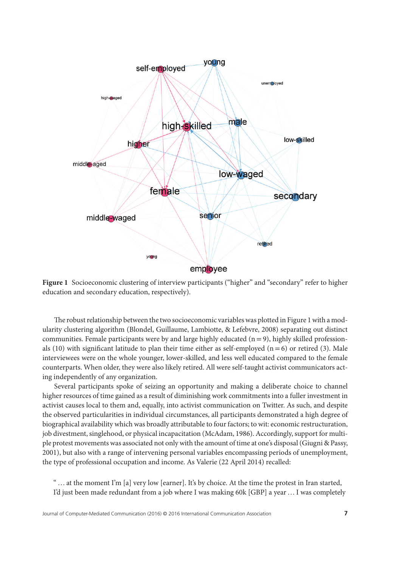

**Figure 1** Socioeconomic clustering of interview participants ("higher" and "secondary" refer to higher education and secondary education, respectively).

The robust relationship between the two socioeconomic variables was plotted in Figure 1 with a modularity clustering algorithm (Blondel, Guillaume, Lambiotte, & Lefebvre, 2008) separating out distinct communities. Female participants were by and large highly educated  $(n=9)$ , highly skilled professionals (10) with significant latitude to plan their time either as self-employed ( $n=6$ ) or retired (3). Male interviewees were on the whole younger, lower-skilled, and less well educated compared to the female counterparts. When older, they were also likely retired. All were self-taught activist communicators acting independently of any organization.

Several participants spoke of seizing an opportunity and making a deliberate choice to channel higher resources of time gained as a result of diminishing work commitments into a fuller investment in activist causes local to them and, equally, into activist communication on Twitter. As such, and despite the observed particularities in individual circumstances, all participants demonstrated a high degree of biographical availability which was broadly attributable to four factors; to wit: economic restructuration, job divestment, singlehood, or physical incapacitation (McAdam, 1986). Accordingly, support for multiple protest movements was associated not only with the amount of time at one's disposal (Giugni & Passy, 2001), but also with a range of intervening personal variables encompassing periods of unemployment, the type of professional occupation and income. As Valerie (22 April 2014) recalled:

" … at the moment I'm [a] very low [earner]. It's by choice. At the time the protest in Iran started, I'd just been made redundant from a job where I was making 60k [GBP] a year… I was completely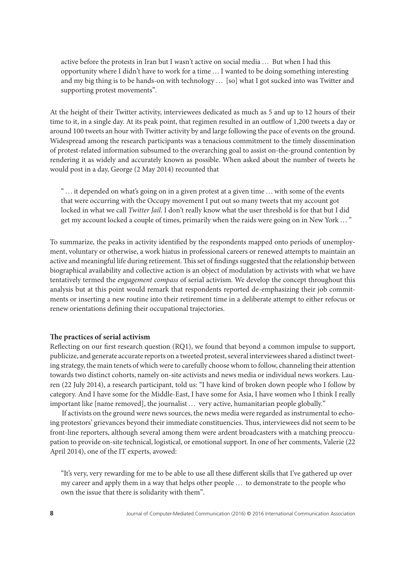active before the protests in Iran but I wasn't active on social media … But when I had this opportunity where I didn't have to work for a time… I wanted to be doing something interesting and my big thing is to be hands-on with technology… [so] what I got sucked into was Twitter and supporting protest movements".

At the height of their Twitter activity, interviewees dedicated as much as 5 and up to 12 hours of their time to it, in a single day. At its peak point, that regimen resulted in an outflow of 1,200 tweets a day or around 100 tweets an hour with Twitter activity by and large following the pace of events on the ground. Widespread among the research participants was a tenacious commitment to the timely dissemination of protest-related information subsumed to the overarching goal to assist on-the-ground contention by rendering it as widely and accurately known as possible. When asked about the number of tweets he would post in a day, George (2 May 2014) recounted that

" … it depended on what's going on in a given protest at a given time … with some of the events that were occurring with the Occupy movement I put out so many tweets that my account got locked in what we call *Twitter Jail*. I don't really know what the user threshold is for that but I did get my account locked a couple of times, primarily when the raids were going on in New York … "

To summarize, the peaks in activity identified by the respondents mapped onto periods of unemployment, voluntary or otherwise, a work hiatus in professional careers or renewed attempts to maintain an active and meaningful life during retirement. This set of findings suggested that the relationship between biographical availability and collective action is an object of modulation by activists with what we have tentatively termed the *engagement compass* of serial activism. We develop the concept throughout this analysis but at this point would remark that respondents reported de-emphasizing their job commitments or inserting a new routine into their retirement time in a deliberate attempt to either refocus or renew orientations defining their occupational trajectories.

### **The practices of serial activism**

Reflecting on our first research question (RQ1), we found that beyond a common impulse to support, publicize, and generate accurate reports on a tweeted protest, several interviewees shared a distinct tweeting strategy, the main tenets of which were to carefully choose whom to follow, channeling their attention towards two distinct cohorts, namely on-site activists and news media or individual news workers. Lauren (22 July 2014), a research participant, told us: "I have kind of broken down people who I follow by category. And I have some for the Middle-East, I have some for Asia, I have women who I think I really important like [name removed], the journalist … very active, humanitarian people globally."

If activists on the ground were news sources, the news media were regarded as instrumental to echoing protestors' grievances beyond their immediate constituencies. Thus, interviewees did not seem to be front-line reporters, although several among them were ardent broadcasters with a matching preoccupation to provide on-site technical, logistical, or emotional support. In one of her comments, Valerie (22 April 2014), one of the IT experts, avowed:

"It's very, very rewarding for me to be able to use all these different skills that I've gathered up over my career and apply them in a way that helps other people … to demonstrate to the people who own the issue that there is solidarity with them".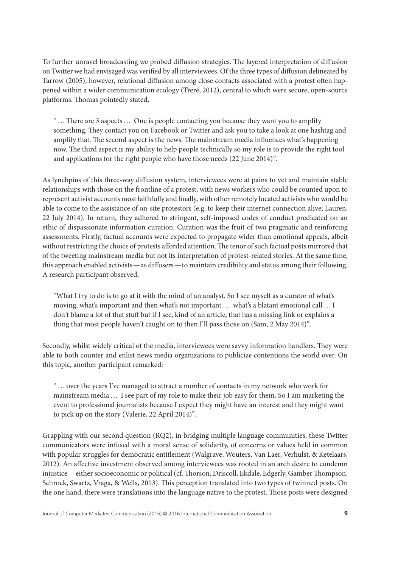To further unravel broadcasting we probed diffusion strategies. The layered interpretation of diffusion on Twitter we had envisaged was verified by all interviewees. Of the three types of diffusion delineated by Tarrow (2005), however, relational diffusion among close contacts associated with a protest often happened within a wider communication ecology (Treré, 2012), central to which were secure, open-source platforms. Thomas pointedly stated,

" …There are 3 aspects … One is people contacting you because they want you to amplify something. They contact you on Facebook or Twitter and ask you to take a look at one hashtag and amplify that. The second aspect is the news. The mainstream media influences what's happening now. The third aspect is my ability to help people technically so my role is to provide the right tool and applications for the right people who have those needs (22 June 2014)".

As lynchpins of this three-way diffusion system, interviewees were at pains to vet and maintain stable relationships with those on the frontline of a protest; with news workers who could be counted upon to represent activist accounts most faithfully and finally, with other remotely located activists who would be able to come to the assistance of on-site protestors (e.g. to keep their internet connection alive; Lauren, 22 July 2014). In return, they adhered to stringent, self-imposed codes of conduct predicated on an ethic of dispassionate information curation. Curation was the fruit of two pragmatic and reinforcing assessments. Firstly, factual accounts were expected to propagate wider than emotional appeals, albeit without restricting the choice of protests afforded attention.The tenor of such factual posts mirrored that of the tweeting mainstream media but not its interpretation of protest-related stories. At the same time, this approach enabled activists—as diffusers— to maintain credibility and status among their following. A research participant observed,

"What I try to do is to go at it with the mind of an analyst. So I see myself as a curator of what's moving, what's important and then what's not important … what's a blatant emotional call… I don't blame a lot of that stuff but if I see, kind of an article, that has a missing link or explains a thing that most people haven't caught on to then I'll pass those on (Sam, 2 May 2014)".

Secondly, whilst widely critical of the media, interviewees were savvy information handlers. They were able to both counter and enlist news media organizations to publicize contentions the world over. On this topic, another participant remarked:

" … over the years I've managed to attract a number of contacts in my network who work for mainstream media… I see part of my role to make their job easy for them. So I am marketing the event to professional journalists because I expect they might have an interest and they might want to pick up on the story (Valerie, 22 April 2014)".

Grappling with our second question (RQ2), in bridging multiple language communities, these Twitter communicators were infused with a moral sense of solidarity, of concerns or values held in common with popular struggles for democratic entitlement (Walgrave, Wouters, Van Laer, Verhulst, & Ketelaars, 2012). An affective investment observed among interviewees was rooted in an arch desire to condemn injustice—either socioeconomic or political (cf. Thorson, Driscoll, Ekdale, Edgerly, Gamber Thompson, Schrock, Swartz, Vraga, & Wells, 2013). This perception translated into two types of twinned posts. On the one hand, there were translations into the language native to the protest. Those posts were designed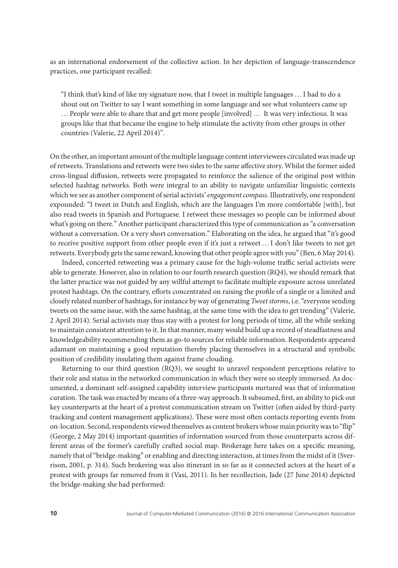as an international endorsement of the collective action. In her depiction of language-transcendence practices, one participant recalled:

"I think that's kind of like my signature now, that I tweet in multiple languages … I had to do a shout out on Twitter to say I want something in some language and see what volunteers came up … People were able to share that and get more people [involved] … It was very infectious. It was groups like that that became the engine to help stimulate the activity from other groups in other countries (Valerie, 22 April 2014)".

On the other, an important amount of the multiple language content interviewees circulated was made up of retweets. Translations and retweets were two sides to the same affective story. Whilst the former aided cross-lingual diffusion, retweets were propagated to reinforce the salience of the original post within selected hashtag networks. Both were integral to an ability to navigate unfamiliar linguistic contexts which we see as another component of serial activists' *engagement compass*. Illustratively, one respondent expounded: "I tweet in Dutch and English, which are the languages I'm more comfortable [with], but also read tweets in Spanish and Portuguese. I retweet these messages so people can be informed about what's going on there." Another participant characterized this type of communication as "a conversation without a conversation. Or a very short conversation." Elaborating on the idea, he argued that "it's good to receive positive support from other people even if it's just a retweet … I don't like tweets to not get retweets. Everybody gets the same reward, knowing that other people agree with you" (Ben, 6 May 2014).

Indeed, concerted retweeting was a primary cause for the high-volume traffic serial activists were able to generate. However, also in relation to our fourth research question (RQ4), we should remark that the latter practice was not guided by any willful attempt to facilitate multiple exposure across unrelated protest hashtags. On the contrary, efforts concentrated on raising the profile of a single or a limited and closely related number of hashtags, for instance by way of generating *Tweet storms*, i.e. "everyone sending tweets on the same issue, with the same hashtag, at the same time with the idea to get trending" (Valerie, 2 April 2014). Serial activists may thus stay with a protest for long periods of time, all the while seeking to maintain consistent attention to it. In that manner, many would build up a record of steadfastness and knowledgeability recommending them as go-to sources for reliable information. Respondents appeared adamant on maintaining a good reputation thereby placing themselves in a structural and symbolic position of credibility insulating them against frame clouding.

Returning to our third question (RQ3), we sought to unravel respondent perceptions relative to their role and status in the networked communication in which they were so steeply immersed. As documented, a dominant self-assigned capability interview participants nurtured was that of information curation.The task was enacted by means of a three-way approach. It subsumed, first, an ability to pick out key counterparts at the heart of a protest communication stream on Twitter (often aided by third-party tracking and content management applications). These were most often contacts reporting events from on-location. Second, respondents viewed themselves as content brokers whose main priority was to "flip" (George, 2 May 2014) important quantities of information sourced from those counterparts across different areas of the former's carefully crafted social map. Brokerage here takes on a specific meaning, namely that of "bridge-making" or enabling and directing interaction, at times from the midst of it (Sverrison, 2001, p. 314). Such brokering was also itinerant in so far as it connected actors at the heart of a protest with groups far removed from it (Vasi, 2011). In her recollection, Jade (27 June 2014) depicted the bridge-making she had performed: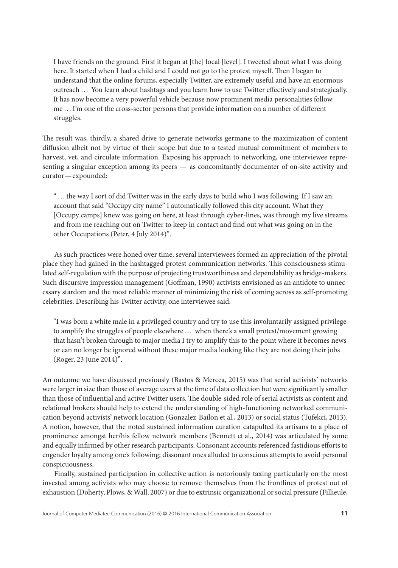I have friends on the ground. First it began at [the] local [level]. I tweeted about what I was doing here. It started when I had a child and I could not go to the protest myself. Then I began to understand that the online forums, especially Twitter, are extremely useful and have an enormous outreach … You learn about hashtags and you learn how to use Twitter effectively and strategically. It has now become a very powerful vehicle because now prominent media personalities follow me… I'm one of the cross-sector persons that provide information on a number of different struggles.

The result was, thirdly, a shared drive to generate networks germane to the maximization of content diffusion albeit not by virtue of their scope but due to a tested mutual commitment of members to harvest, vet, and circulate information. Exposing his approach to networking, one interviewee representing a singular exception among its peers — as concomitantly documenter of on-site activity and curator—expounded:

" … the way I sort of did Twitter was in the early days to build who I was following. If I saw an account that said "Occupy city name" I automatically followed this city account. What they [Occupy camps] knew was going on here, at least through cyber-lines, was through my live streams and from me reaching out on Twitter to keep in contact and find out what was going on in the other Occupations (Peter, 4 July 2014)".

As such practices were honed over time, several interviewees formed an appreciation of the pivotal place they had gained in the hashtagged protest communication networks. This consciousness stimulated self-regulation with the purpose of projecting trustworthiness and dependability as bridge-makers. Such discursive impression management (Goffman, 1990) activists envisioned as an antidote to unnecessary stardom and the most reliable manner of minimizing the risk of coming across as self-promoting celebrities. Describing his Twitter activity, one interviewee said:

"I was born a white male in a privileged country and try to use this involuntarily assigned privilege to amplify the struggles of people elsewhere … when there's a small protest/movement growing that hasn't broken through to major media I try to amplify this to the point where it becomes news or can no longer be ignored without these major media looking like they are not doing their jobs (Roger, 23 June 2014)".

An outcome we have discussed previously (Bastos & Mercea, 2015) was that serial activists' networks were larger in size than those of average users at the time of data collection but were significantly smaller than those of influential and active Twitter users. The double-sided role of serial activists as content and relational brokers should help to extend the understanding of high-functioning networked communication beyond activists' network location (Gonzalez-Bailon et al., 2013) or social status (Tufekci, 2013). A notion, however, that the noted sustained information curation catapulted its artisans to a place of prominence amongst her/his fellow network members (Bennett et al., 2014) was articulated by some and equally infirmed by other research participants. Consonant accounts referenced fastidious efforts to engender loyalty among one's following; dissonant ones alluded to conscious attempts to avoid personal conspicuousness.

Finally, sustained participation in collective action is notoriously taxing particularly on the most invested among activists who may choose to remove themselves from the frontlines of protest out of exhaustion (Doherty, Plows, & Wall, 2007) or due to extrinsic organizational or social pressure (Fillieule,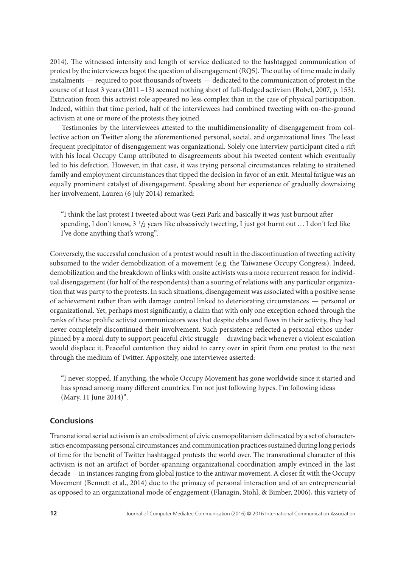2014). The witnessed intensity and length of service dedicated to the hashtagged communication of protest by the interviewees begot the question of disengagement (RQ5). The outlay of time made in daily instalments — required to post thousands of tweets — dedicated to the communication of protest in the course of at least 3 years (2011–13) seemed nothing short of full-fledged activism (Bobel, 2007, p. 153). Extrication from this activist role appeared no less complex than in the case of physical participation. Indeed, within that time period, half of the interviewees had combined tweeting with on-the-ground activism at one or more of the protests they joined.

Testimonies by the interviewees attested to the multidimensionality of disengagement from collective action on Twitter along the aforementioned personal, social, and organizational lines. The least frequent precipitator of disengagement was organizational. Solely one interview participant cited a rift with his local Occupy Camp attributed to disagreements about his tweeted content which eventually led to his defection. However, in that case, it was trying personal circumstances relating to straitened family and employment circumstances that tipped the decision in favor of an exit. Mental fatigue was an equally prominent catalyst of disengagement. Speaking about her experience of gradually downsizing her involvement, Lauren (6 July 2014) remarked:

"I think the last protest I tweeted about was Gezi Park and basically it was just burnout after spending, I don't know, 3 <sup>1</sup>∕<sup>2</sup> years like obsessively tweeting, I just got burnt out… I don't feel like I've done anything that's wrong".

Conversely, the successful conclusion of a protest would result in the discontinuation of tweeting activity subsumed to the wider demobilization of a movement (e.g. the Taiwanese Occupy Congress). Indeed, demobilization and the breakdown of links with onsite activists was a more recurrent reason for individual disengagement (for half of the respondents) than a souring of relations with any particular organization that was party to the protests. In such situations, disengagement was associated with a positive sense of achievement rather than with damage control linked to deteriorating circumstances — personal or organizational. Yet, perhaps most significantly, a claim that with only one exception echoed through the ranks of these prolific activist communicators was that despite ebbs and flows in their activity, they had never completely discontinued their involvement. Such persistence reflected a personal ethos underpinned by a moral duty to support peaceful civic struggle—drawing back whenever a violent escalation would displace it. Peaceful contention they aided to carry over in spirit from one protest to the next through the medium of Twitter. Appositely, one interviewee asserted:

"I never stopped. If anything, the whole Occupy Movement has gone worldwide since it started and has spread among many different countries. I'm not just following hypes. I'm following ideas (Mary, 11 June 2014)".

# **Conclusions**

Transnational serial activism is an embodiment of civic cosmopolitanism delineated by a set of characteristics encompassing personal circumstances and communication practices sustained during long periods of time for the benefit of Twitter hashtagged protests the world over. The transnational character of this activism is not an artifact of border-spanning organizational coordination amply evinced in the last decade—in instances ranging from global justice to the antiwar movement. A closer fit with the Occupy Movement (Bennett et al., 2014) due to the primacy of personal interaction and of an entrepreneurial as opposed to an organizational mode of engagement (Flanagin, Stohl, & Bimber, 2006), this variety of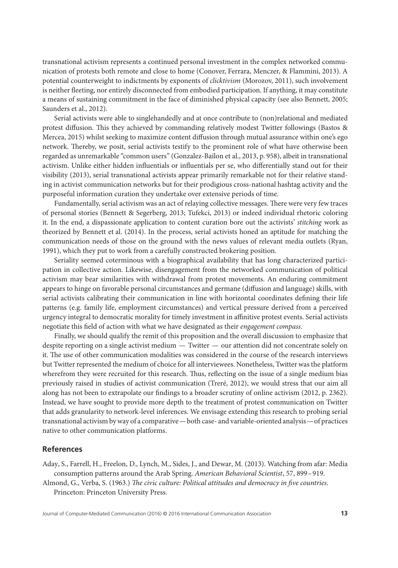transnational activism represents a continued personal investment in the complex networked communication of protests both remote and close to home (Conover, Ferrara, Menczer, & Flammini, 2013). A potential counterweight to indictments by exponents of *clicktivism* (Morozov, 2011), such involvement is neither fleeting, nor entirely disconnected from embodied participation. If anything, it may constitute a means of sustaining commitment in the face of diminished physical capacity (see also Bennett, 2005; Saunders et al., 2012).

Serial activists were able to singlehandedly and at once contribute to (non)relational and mediated protest diffusion. This they achieved by commanding relatively modest Twitter followings (Bastos & Mercea, 2015) whilst seeking to maximize content diffusion through mutual assurance within one's ego network. Thereby, we posit, serial activists testify to the prominent role of what have otherwise been regarded as unremarkable "common users" (Gonzalez-Bailon et al., 2013, p. 958), albeit in transnational activism. Unlike either hidden influentials or influentials per se, who differentially stand out for their visibility (2013), serial transnational activists appear primarily remarkable not for their relative standing in activist communication networks but for their prodigious cross-national hashtag activity and the purposeful information curation they undertake over extensive periods of time.

Fundamentally, serial activism was an act of relaying collective messages. There were very few traces of personal stories (Bennett & Segerberg, 2013; Tufekci, 2013) or indeed individual rhetoric coloring it. In the end, a dispassionate application to content curation bore out the activists' *stitching* work as theorized by Bennett et al. (2014). In the process, serial activists honed an aptitude for matching the communication needs of those on the ground with the news values of relevant media outlets (Ryan, 1991), which they put to work from a carefully constructed brokering position.

Seriality seemed coterminous with a biographical availability that has long characterized participation in collective action. Likewise, disengagement from the networked communication of political activism may bear similarities with withdrawal from protest movements. An enduring commitment appears to hinge on favorable personal circumstances and germane (diffusion and language) skills, with serial activists calibrating their communication in line with horizontal coordinates defining their life patterns (e.g. family life, employment circumstances) and vertical pressure derived from a perceived urgency integral to democratic morality for timely investment in affinitive protest events. Serial activists negotiate this field of action with what we have designated as their *engagement compass*.

Finally, we should qualify the remit of this proposition and the overall discussion to emphasize that despite reporting on a single activist medium — Twitter — our attention did not concentrate solely on it. The use of other communication modalities was considered in the course of the research interviews but Twitter represented the medium of choice for all interviewees. Nonetheless, Twitter was the platform wherefrom they were recruited for this research. Thus, reflecting on the issue of a single medium bias previously raised in studies of activist communication (Treré, 2012), we would stress that our aim all along has not been to extrapolate our findings to a broader scrutiny of online activism (2012, p. 2362). Instead, we have sought to provide more depth to the treatment of protest communication on Twitter that adds granularity to network-level inferences. We envisage extending this research to probing serial transnational activism by way of a comparative—both case- and variable-oriented analysis—of practices native to other communication platforms.

#### **References**

- Aday, S., Farrell, H., Freelon, D., Lynch, M., Sides, J., and Dewar, M. (2013). Watching from afar: Media consumption patterns around the Arab Spring. *American Behavioral Scientist*, 57, 899–919.
- Almond, G., Verba, S. (1963.) *The civic culture: Political attitudes and democracy in five countries*. Princeton: Princeton University Press.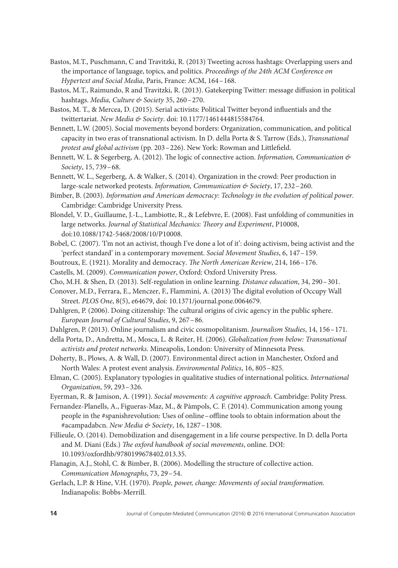- Bastos, M.T., Puschmann, C and Travitzki, R. (2013) Tweeting across hashtags: Overlapping users and the importance of language, topics, and politics. *Proceedings of the 24th ACM Conference on Hypertext and Social Media*, Paris, France: ACM, 164–168.
- Bastos, M.T., Raimundo, R and Travitzki, R. (2013). Gatekeeping Twitter: message diffusion in political hashtags. *Media, Culture & Society* 35, 260–270.
- Bastos, M. T., & Mercea, D. (2015). Serial activists: Political Twitter beyond influentials and the twittertariat. *New Media & Society*. doi: 10.1177/1461444815584764.
- Bennett, L.W. (2005). Social movements beyond borders: Organization, communication, and political capacity in two eras of transnational activism. In D. della Porta & S. Tarrow (Eds.), *Transnational protest and global activism* (pp. 203–226). New York: Rowman and Littlefield.
- Bennett, W. L. & Segerberg, A. (2012). The logic of connective action. *Information, Communication & Society*, 15, 739–68.
- Bennett, W. L., Segerberg, A. & Walker, S. (2014). Organization in the crowd: Peer production in large-scale networked protests. *Information, Communication & Society*, 17, 232–260.
- Bimber, B. (2003). *Information and American democracy: Technology in the evolution of political power.* Cambridge: Cambridge University Press.
- Blondel, V. D., Guillaume, J.-L., Lambiotte, R., & Lefebvre, E. (2008). Fast unfolding of communities in large networks. *Journal of Statistical Mechanics: Theory and Experiment*, P10008, doi:10.1088/1742-5468/2008/10/P10008.
- Bobel, C. (2007). 'I'm not an activist, though I've done a lot of it': doing activism, being activist and the 'perfect standard' in a contemporary movement. *Social Movement Studies*, 6, 147–159.
- Boutroux, E. (1921). Morality and democracy. *The North American Review*, 214, 166–176.
- Castells, M. (2009). *Communication power*, Oxford: Oxford University Press.
- Cho, M.H. & Shen, D. (2013). Self-regulation in online learning. *Distance education*, 34, 290–301.
- Conover, M.D., Ferrara, E., Menczer, F., Flammini, A. (2013) The digital evolution of Occupy Wall Street. *PLOS One*, 8(5), e64679, doi: 10.1371/journal.pone.0064679.
- Dahlgren, P. (2006). Doing citizenship: The cultural origins of civic agency in the public sphere. *European Journal of Cultural Studies*, 9, 267–86.
- Dahlgren, P. (2013). Online journalism and civic cosmopolitanism. *Journalism Studies*, 14, 156–171.
- della Porta, D., Andretta, M., Mosca, L. & Reiter, H. (2006). *Globalization from below: Transnational activists and protest networks*. Mineapolis, London: University of Minnesota Press.
- Doherty, B., Plows, A. & Wall, D. (2007). Environmental direct action in Manchester, Oxford and North Wales: A protest event analysis. *Environmental Politics*, 16, 805–825.
- Elman, C. (2005). Explanatory typologies in qualitative studies of international politics. *International Organization*, 59, 293–326.
- Eyerman, R. & Jamison, A. (1991). *Social movements: A cognitive approach*. Cambridge: Polity Press.
- Fernandez-Planells, A., Figueras-Maz, M., & Pàmpols, C. F. (2014). Communication among young people in the #spanishrevolution: Uses of online–offline tools to obtain information about the #acampadabcn. *New Media & Society*, 16, 1287–1308.
- Fillieule, O. (2014). Demobilization and disengagement in a life course perspective. In D. della Porta and M. Diani (Eds.) *The oxford handbook of social movements*, online. DOI: 10.1093/oxfordhb/9780199678402.013.35.
- Flanagin, A.J., Stohl, C. & Bimber, B. (2006). Modelling the structure of collective action. *Communication Monographs*, 73, 29–54.
- Gerlach, L.P. & Hine, V.H. (1970). *People, power, change: Movements of social transformation.* Indianapolis: Bobbs-Merrill.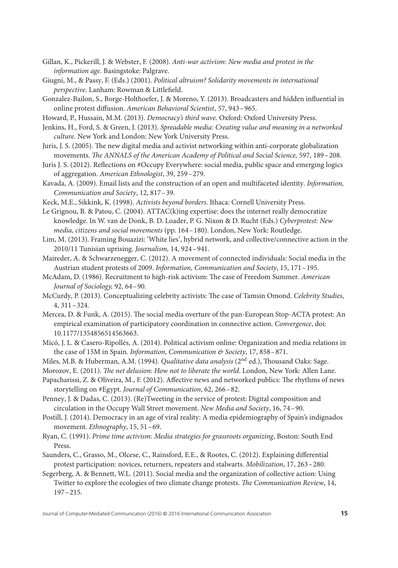Gillan, K., Pickerill, J. & Webster, F. (2008). *Anti-war activism: New media and protest in the information age.* Basingstoke: Palgrave.

Giugni, M., & Passy, F. (Eds.) (2001). *Political altruism? Solidarity movements in international perspective*. Lanham: Rowman & Littlefield.

Gonzalez-Bailon, S., Borge-Holthoefer, J. & Moreno, Y. (2013). Broadcasters and hidden influential in online protest diffusion. *American Behavioral Scientist*, 57, 943–965.

Howard, P., Hussain, M.M. (2013). *Democracy's third wave.* Oxford: Oxford University Press.

Jenkins, H., Ford, S. & Green, J. (2013). *Spreadable media: Creating value and meaning in a networked culture.* New York and London: New York University Press.

Juris, J. S. (2005). The new digital media and activist networking within anti-corporate globalization movements. *The ANNALS of the American Academy of Political and Social Science,* 597, 189–208.

Juris J. S. (2012). Reflections on #Occupy Everywhere: social media, public space and emerging logics of aggregation. *American Ethnologist*, 39, 259–279.

Kavada, A. (2009). Email lists and the construction of an open and multifaceted identity. *Information, Communication and Society*, 12, 817–39.

Keck, M.E., Sikkink, K. (1998). *Activists beyond borders*. Ithaca: Cornell University Press.

Le Grignou, B. & Patou, C. (2004). ATTAC(k)ing expertise: does the internet really democratize knowledge. In W. van de Donk, B. D. Loader, P. G. Nixon & D. Rucht (Eds.) *Cyberprotest: New media, citizens and social movements* (pp. 164–180). London, New York: Routledge.

Lim, M. (2013). Framing Bouazizi: 'White lies', hybrid network, and collective/connective action in the 2010/11 Tunisian uprising. *Journalism,* 14, 924–941.

Maireder, A. & Schwarzenegger, C. (2012). A movement of connected individuals: Social media in the Austrian student protests of 2009. *Information, Communication and Society*, 15, 171–195.

McAdam, D. (1986). Recruitment to high-risk activism: The case of Freedom Summer. *American Journal of Sociology,* 92, 64–90.

McCurdy, P. (2013). Conceptualizing celebrity activists: The case of Tamsin Omond. *Celebrity Studies*, 4, 311–324.

Mercea, D. & Funk, A. (2015). The social media overture of the pan-European Stop-ACTA protest: An empirical examination of participatory coordination in connective action. *Convergence*, doi: 10.1177/1354856514563663.

Micó, J. L. & Casero-Ripollés, A. (2014). Political activism online: Organization and media relations in the case of 15M in Spain. *Information, Communication & Society*, 17, 858–871.

Miles, M.B. & Huberman, A.M. (1994). *Qualitative data analysis* (2nd ed.), Thousand Oaks: Sage.

Morozov, E. (2011). *The net delusion: How not to liberate the world*. London, New York: Allen Lane.

Papacharissi, Z. & Oliveira, M., F. (2012). Affective news and networked publics: The rhythms of news storytelling on #Egypt. *Journal of Communication*, 62, 266–82.

Penney, J. & Dadas, C. (2013). (Re)Tweeting in the service of protest: Digital composition and circulation in the Occupy Wall Street movement. *New Media and Society*, 16, 74–90.

Postill, J. (2014). Democracy in an age of viral reality: A media epidemiography of Spain's indignados movement. *Ethnography*, 15, 51–69.

Ryan, C. (1991). *Prime time activism: Media strategies for grassroots organizing*, Boston: South End Press.

Saunders, C., Grasso, M., Olcese, C., Rainsford, E.E., & Rootes, C. (2012). Explaining differential protest participation: novices, returners, repeaters and stalwarts. *Mobilization*, 17, 263–280.

Segerberg, A. & Bennett, W.L. (2011). Social media and the organization of collective action: Using Twitter to explore the ecologies of two climate change protests. *The Communication Review*, 14, 197–215.

Journal of Computer-Mediated Communication (2016) © 2016 International Communication Association **15**